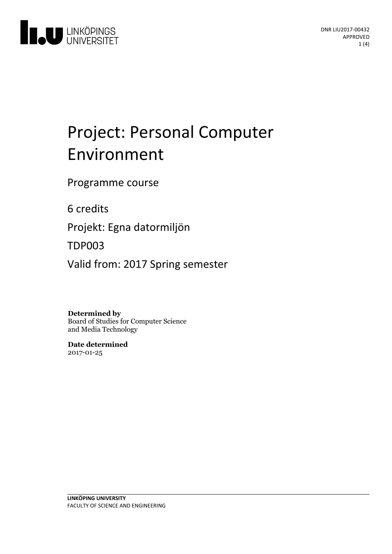

# Project: Personal Computer Environment

Programme course

6 credits

Projekt: Egna datormiljön

TDP003

Valid from: 2017 Spring semester

**Determined by**

Board of Studies for Computer Science and Media Technology

**Date determined** 2017-01-25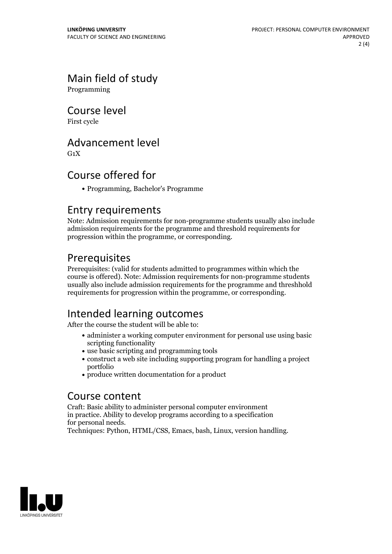# Main field of study

Programming

Course level

First cycle

#### Advancement level

 $G_1X$ 

#### Course offered for

Programming, Bachelor's Programme

#### Entry requirements

Note: Admission requirements for non-programme students usually also include admission requirements for the programme and threshold requirements for progression within the programme, or corresponding.

#### Prerequisites

Prerequisites: (valid for students admitted to programmes within which the course is offered). Note: Admission requirements for non-programme students usually also include admission requirements for the programme and threshhold requirements for progression within the programme, or corresponding.

# Intended learning outcomes

After the course the student will be able to:

- administer a working computer environment for personal use using basic scripting functionality
- use basic scripting and programming tools
- construct a web site including supporting program for handling a project portfolio
- produce written documentation for a product

#### Course content

Craft: Basic ability to administer personal computer environment in practice. Ability to develop programs according to a specification for personal needs. Techniques: Python, HTML/CSS, Emacs, bash, Linux, version handling.

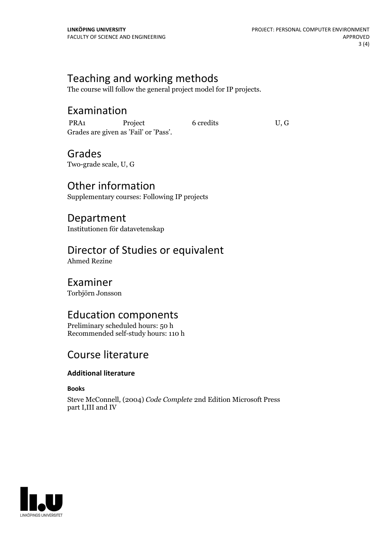#### Teaching and working methods

The course will follow the general project model for IP projects.

#### Examination

PRA1 Project 6 credits U, G Grades are given as'Fail' or 'Pass'.

### Grades

Two-grade scale, U, G

Other information Supplementary courses: Following IP projects

Department Institutionen för datavetenskap

#### Director of Studies or equivalent

Ahmed Rezine

#### Examiner

Torbjörn Jonsson

#### Education components

Preliminary scheduled hours: 50 h Recommended self-study hours: 110 h

#### Course literature

#### **Additional literature**

**Books**

Steve McConnell, (2004) *Code Complete* 2nd Edition Microsoft Press part I,III and IV